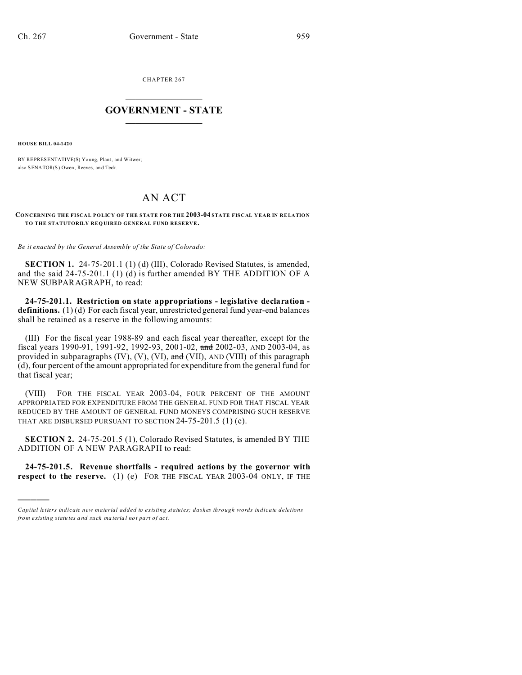CHAPTER 267  $\overline{\phantom{a}}$  , where  $\overline{\phantom{a}}$ 

## **GOVERNMENT - STATE**  $\_$   $\_$

**HOUSE BILL 04-1420**

)))))

BY REPRESENTATIVE(S) Yo ung, Plant, and Witwer; also SENATOR(S) Owen, Reeves, an d Teck.

## AN ACT

## **CONCERNING THE FISCAL POLICY OF THE STATE FOR THE 2003-04 STATE FISCAL YEAR IN RELATION TO THE STATUTORILY REQ UIRED GENERAL FUND RESERVE.**

*Be it enacted by the General Assembly of the State of Colorado:*

**SECTION 1.** 24-75-201.1 (1) (d) (III), Colorado Revised Statutes, is amended, and the said 24-75-201.1 (1) (d) is further amended BY THE ADDITION OF A NEW SUBPARAGRAPH, to read:

**24-75-201.1. Restriction on state appropriations - legislative declaration definitions.** (1) (d) For each fiscal year, unrestricted general fund year-end balances shall be retained as a reserve in the following amounts:

(III) For the fiscal year 1988-89 and each fiscal year thereafter, except for the fiscal years 1990-91, 1991-92, 1992-93, 2001-02, and 2002-03, AND 2003-04, as provided in subparagraphs  $(IV)$ ,  $(V)$ ,  $(VI)$ ,  $\overline{\text{and}}$   $(VII)$ ,  $AND$   $(VIII)$  of this paragraph (d), four percent of the amount appropriated for expenditure from the general fund for that fiscal year;

(VIII) FOR THE FISCAL YEAR 2003-04, FOUR PERCENT OF THE AMOUNT APPROPRIATED FOR EXPENDITURE FROM THE GENERAL FUND FOR THAT FISCAL YEAR REDUCED BY THE AMOUNT OF GENERAL FUND MONEYS COMPRISING SUCH RESERVE THAT ARE DISBURSED PURSUANT TO SECTION 24-75-201.5 (1) (e).

**SECTION 2.** 24-75-201.5 (1), Colorado Revised Statutes, is amended BY THE ADDITION OF A NEW PARAGRAPH to read:

**24-75-201.5. Revenue shortfalls - required actions by the governor with respect to the reserve.** (1) (e) FOR THE FISCAL YEAR 2003-04 ONLY, IF THE

*Capital letters indicate new material added to existing statutes; dashes through words indicate deletions from e xistin g statu tes a nd such ma teria l no t pa rt of ac t.*